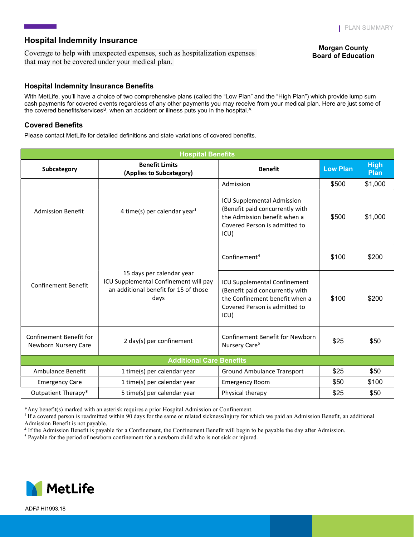## Hospital Indemnity Insurance

Coverage to help with unexpected expenses, such as hospitalization expenses that may not be covered under your medical plan.

### Morgan County **Board of Education**

### Hospital Indemnity Insurance Benefits

With MetLife, you'll have a choice of two comprehensive plans (called the "Low Plan" and the "High Plan") which provide lump sum cash payments for covered events regardless of any other payments you may receive from your medical plan. Here are just some of the covered benefits/services<sup>B</sup>, when an accident or illness puts you in the hospital.<sup>A</sup>

## Covered Benefits

Please contact MetLife for detailed definitions and state variations of covered benefits.

| <b>Hospital Benefits</b>                               |                                                                                                                     |                                                                                                                                               |                 |                            |  |
|--------------------------------------------------------|---------------------------------------------------------------------------------------------------------------------|-----------------------------------------------------------------------------------------------------------------------------------------------|-----------------|----------------------------|--|
| Subcategory                                            | <b>Benefit Limits</b><br>(Applies to Subcategory)                                                                   | <b>Benefit</b>                                                                                                                                | <b>Low Plan</b> | <b>High</b><br><b>Plan</b> |  |
| <b>Admission Benefit</b>                               | 4 time(s) per calendar year <sup>1</sup>                                                                            | Admission                                                                                                                                     | \$500           | \$1,000                    |  |
|                                                        |                                                                                                                     | <b>ICU Supplemental Admission</b><br>(Benefit paid concurrently with<br>the Admission benefit when a<br>Covered Person is admitted to<br>ICU) | \$500           | \$1,000                    |  |
| <b>Confinement Benefit</b>                             | 15 days per calendar year<br>ICU Supplemental Confinement will pay<br>an additional benefit for 15 of those<br>days | Confinement <sup>4</sup>                                                                                                                      | \$100           | \$200                      |  |
|                                                        |                                                                                                                     | ICU Supplemental Confinement<br>(Benefit paid concurrently with<br>the Confinement benefit when a<br>Covered Person is admitted to<br>ICU)    | \$100           | \$200                      |  |
| <b>Confinement Benefit for</b><br>Newborn Nursery Care | 2 day(s) per confinement                                                                                            | Confinement Benefit for Newborn<br>Nursery Care <sup>5</sup>                                                                                  | \$25            | \$50                       |  |
| <b>Additional Care Benefits</b>                        |                                                                                                                     |                                                                                                                                               |                 |                            |  |
| Ambulance Benefit                                      | 1 time(s) per calendar year                                                                                         | <b>Ground Ambulance Transport</b>                                                                                                             | \$25            | \$50                       |  |
| <b>Emergency Care</b>                                  | 1 time(s) per calendar year                                                                                         | <b>Emergency Room</b>                                                                                                                         | \$50            | \$100                      |  |
| Outpatient Therapy*                                    | 5 time(s) per calendar year                                                                                         | Physical therapy                                                                                                                              | \$25            | \$50                       |  |

\*Any benefit(s) marked with an asterisk requires a prior Hospital Admission or Confinement.

<sup>1</sup> If a covered person is readmitted within 90 days for the same or related sickness/injury for which we paid an Admission Benefit, an additional Admission Benefit is not payable.

4 If the Admission Benefit is payable for a Confinement, the Confinement Benefit will begin to be payable the day after Admission.

<sup>5</sup> Payable for the period of newborn confinement for a newborn child who is not sick or injured.



ADF# HI1993.18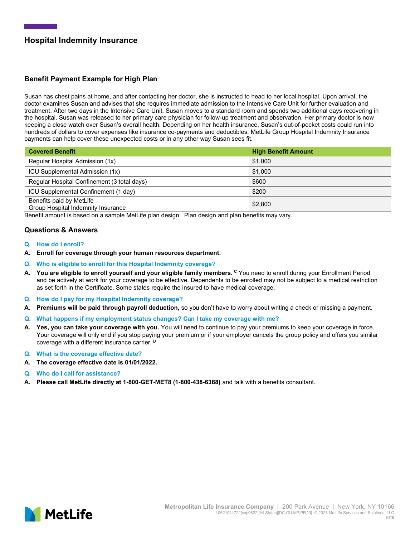# Hospital Indemnity Insurance

## Benefit Payment Example for High Plan

Susan has chest pains at home, and after contacting her doctor, she is instructed to head to her local hospital. Upon arrival, the doctor examines Susan and advises that she requires immediate admission to the Intensive Care Unit for further evaluation and treatment. After two days in the Intensive Care Unit, Susan moves to a standard room and spends two additional days recovering in the hospital. Susan was released to her primary care physician for follow-up treatment and observation. Her primary doctor is now keeping a close watch over Susan's overall health. Depending on her health insurance, Susan's out-of-pocket costs could run into hundreds of dollars to cover expenses like insurance co-payments and deductibles. MetLife Group Hospital Indemnity Insurance payments can help cover these unexpected costs or in any other way Susan sees fit.

| <b>Covered Benefit</b>                                         | <b>High Benefit Amount</b> |
|----------------------------------------------------------------|----------------------------|
| Regular Hospital Admission (1x)                                | \$1,000                    |
| ICU Supplemental Admission (1x)                                | \$1,000                    |
| Regular Hospital Confinement (3 total days)                    | \$600                      |
| ICU Supplemental Confinement (1 day)                           | \$200                      |
| Benefits paid by MetLife<br>Group Hospital Indemnity Insurance | \$2,800                    |

Benefit amount is based on a sample MetLife plan design. Plan design and plan benefits may vary.

### Questions & Answers

- Q. How do I enroll?
- A. Enroll for coverage through your human resources department.
- Q. Who is eligible to enroll for this Hospital Indemnity coverage?
- A. You are eligible to enroll yourself and your eligible family members. <sup>C</sup> You need to enroll during your Enrollment Period and be actively at work for your coverage to be effective. Dependents to be enrolled may not be subject to a medical restriction as set forth in the Certificate. Some states require the insured to have medical coverage.
- Q. How do I pay for my Hospital Indemnity coverage?
- A. Premiums will be paid through payroll deduction, so you don't have to worry about writing a check or missing a payment.
- Q. What happens if my employment status changes? Can I take my coverage with me?
- A. Yes, you can take your coverage with you. You will need to continue to pay your premiums to keep your coverage in force. Your coverage will only end if you stop paying your premium or if your employer cancels the group policy and offers you similar coverage with a different insurance carrier. D
- Q. What is the coverage effective date?
- A. The coverage effective date is 01/01/2022.
- Q. Who do I call for assistance?
- A. Please call MetLife directly at 1-800-GET-MET8 (1-800-438-6388) and talk with a benefits consultant.